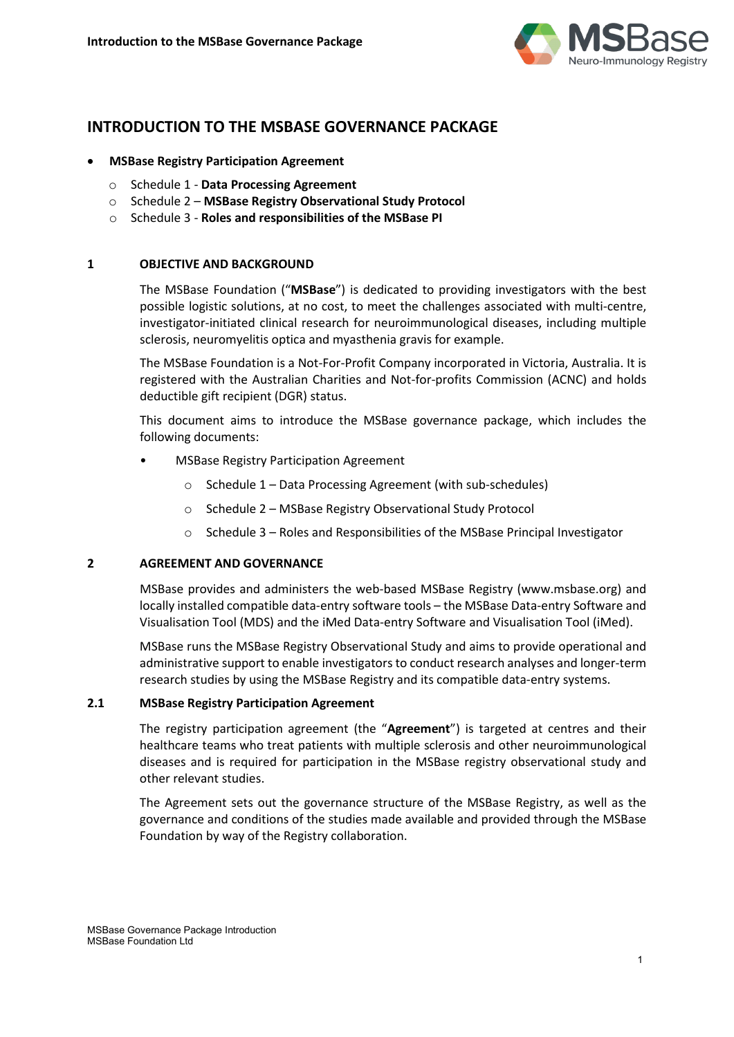

# **INTRODUCTION TO THE MSBASE GOVERNANCE PACKAGE**

- **MSBase Registry Participation Agreement**
	- o Schedule 1 **Data Processing Agreement**
	- o Schedule 2 **MSBase Registry Observational Study Protocol**
	- o Schedule 3 **Roles and responsibilities of the MSBase PI**

# **1 OBJECTIVE AND BACKGROUND**

The MSBase Foundation ("**MSBase**") is dedicated to providing investigators with the best possible logistic solutions, at no cost, to meet the challenges associated with multi-centre, investigator-initiated clinical research for neuroimmunological diseases, including multiple sclerosis, neuromyelitis optica and myasthenia gravis for example.

The MSBase Foundation is a Not-For-Profit Company incorporated in Victoria, Australia. It is registered with the Australian Charities and Not-for-profits Commission (ACNC) and holds deductible gift recipient (DGR) status.

This document aims to introduce the MSBase governance package, which includes the following documents:

- MSBase Registry Participation Agreement
	- o Schedule 1 Data Processing Agreement (with sub-schedules)
	- o Schedule 2 MSBase Registry Observational Study Protocol
	- o Schedule 3 Roles and Responsibilities of the MSBase Principal Investigator

## **2 AGREEMENT AND GOVERNANCE**

MSBase provides and administers the web-based MSBase Registry (www.msbase.org) and locally installed compatible data-entry software tools – the MSBase Data-entry Software and Visualisation Tool (MDS) and the iMed Data-entry Software and Visualisation Tool (iMed).

MSBase runs the MSBase Registry Observational Study and aims to provide operational and administrative support to enable investigators to conduct research analyses and longer-term research studies by using the MSBase Registry and its compatible data-entry systems.

#### **2.1 MSBase Registry Participation Agreement**

The registry participation agreement (the "**Agreement**") is targeted at centres and their healthcare teams who treat patients with multiple sclerosis and other neuroimmunological diseases and is required for participation in the MSBase registry observational study and other relevant studies.

The Agreement sets out the governance structure of the MSBase Registry, as well as the governance and conditions of the studies made available and provided through the MSBase Foundation by way of the Registry collaboration.